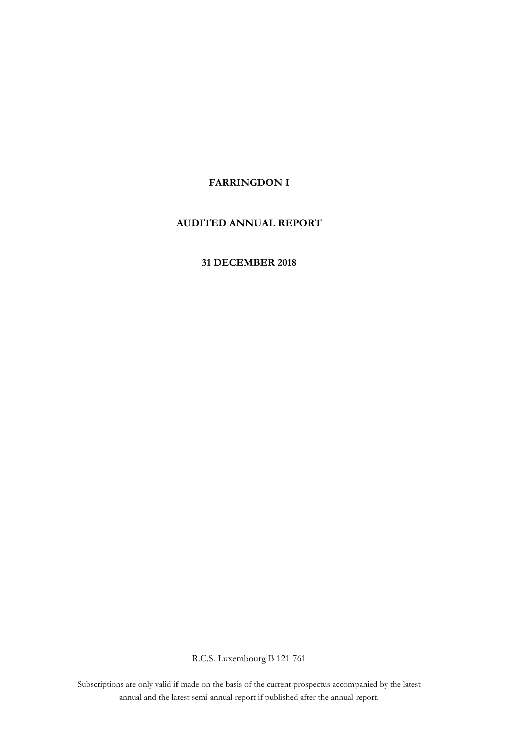## **FARRINGDON I**

## **AUDITED ANNUAL REPORT**

## **31 DECEMBER 2018**

R.C.S. Luxembourg B 121 761

annual and the latest semi-annual report if published after the annual report. Subscriptions are only valid if made on the basis of the current prospectus accompanied by the latest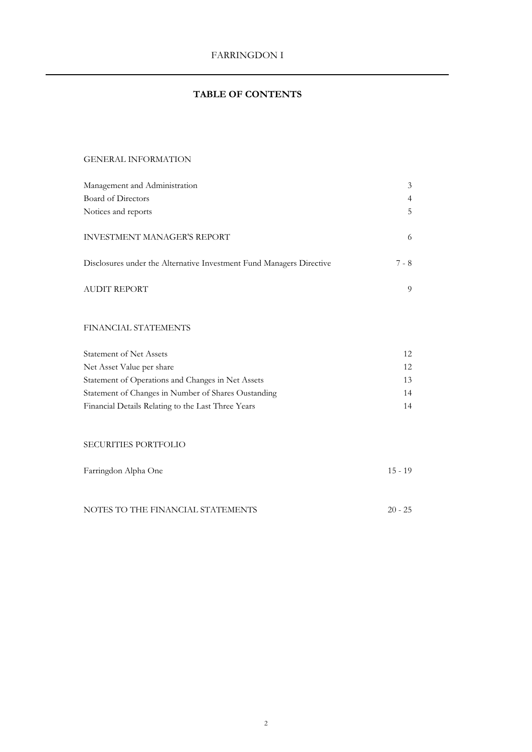# **TABLE OF CONTENTS**

## GENERAL INFORMATION

| Management and Administration                                        | 3     |
|----------------------------------------------------------------------|-------|
| Board of Directors                                                   | 4     |
| Notices and reports                                                  | 5     |
| <b>INVESTMENT MANAGER'S REPORT</b>                                   | 6     |
| Disclosures under the Alternative Investment Fund Managers Directive | 7 - 8 |
| <b>AUDIT REPORT</b>                                                  | 9     |

## FINANCIAL STATEMENTS

| <b>Statement of Net Assets</b>                      | 12 <sub>1</sub> |
|-----------------------------------------------------|-----------------|
| Net Asset Value per share                           | 12.             |
| Statement of Operations and Changes in Net Assets   | 13              |
| Statement of Changes in Number of Shares Oustanding | 14              |
| Financial Details Relating to the Last Three Years  | 14              |

## SECURITIES PORTFOLIO

| Farringdon Alpha One              | $15 - 19$ |
|-----------------------------------|-----------|
|                                   |           |
|                                   |           |
| NOTES TO THE FINANCIAL STATEMENTS | $20 - 25$ |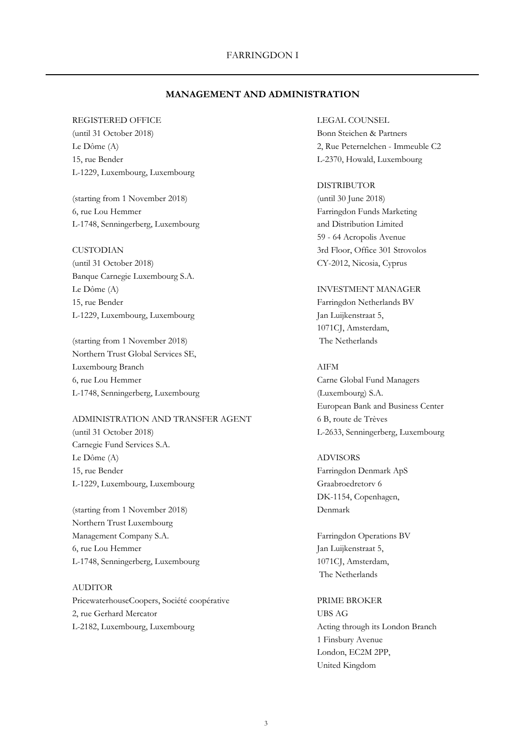## **MANAGEMENT AND ADMINISTRATION**

## REGISTERED OFFICE LEGAL COUNSEL

(until 31 October 2018) Bonn Steichen & Partners 15, rue Bender L-2370, Howald, Luxembourg L-1229, Luxembourg, Luxembourg

(starting from 1 November 2018) (until 30 June 2018) 6, rue Lou Hemmer Farringdon Funds Marketing L-1748, Senningerberg, Luxembourg and Distribution Limited

(until 31 October 2018) CY-2012, Nicosia, Cyprus Banque Carnegie Luxembourg S.A. Le Dôme (A) INVESTMENT MANAGER 15, rue Bender Farringdon Netherlands BV L-1229, Luxembourg, Luxembourg Jan Luijkenstraat 5,

(starting from 1 November 2018) The Netherlands Northern Trust Global Services SE, Luxembourg Branch AIFM 6, rue Lou Hemmer Carne Global Fund Managers L-1748, Senningerberg, Luxembourg (Luxembourg) S.A.

## ADMINISTRATION AND TRANSFER AGENT 6B, route de Trèves (until 31 October 2018) L-2633, Senningerberg, Luxembourg Carnegie Fund Services S.A. Le Dôme (A) ADVISORS

15, rue Bender Farringdon Denmark ApS L-1229, Luxembourg, Luxembourg Graabroedretory 6

(starting from 1 November 2018) Denmark Northern Trust Luxembourg Management Company S.A. Farringdon Operations BV 6, rue Lou Hemmer Jan Luijkenstraat 5, L-1748, Senningerberg, Luxembourg 1071CJ, Amsterdam,

## AUDITOR

PricewaterhouseCoopers, Société coopérative PRIME BROKER 2, rue Gerhard Mercator UBS AG L-2182, Luxembourg, Luxembourg Acting through its London Branch

Le Dôme (A) 2, Rue Peternelchen - Immeuble C2

#### DISTRIBUTOR

59 - 64 Acropolis Avenue CUSTODIAN 3rd Floor, Office 301 Strovolos

1071CJ, Amsterdam,

European Bank and Business Center

DK-1154, Copenhagen,

The Netherlands

1 Finsbury Avenue London, EC2M 2PP, United Kingdom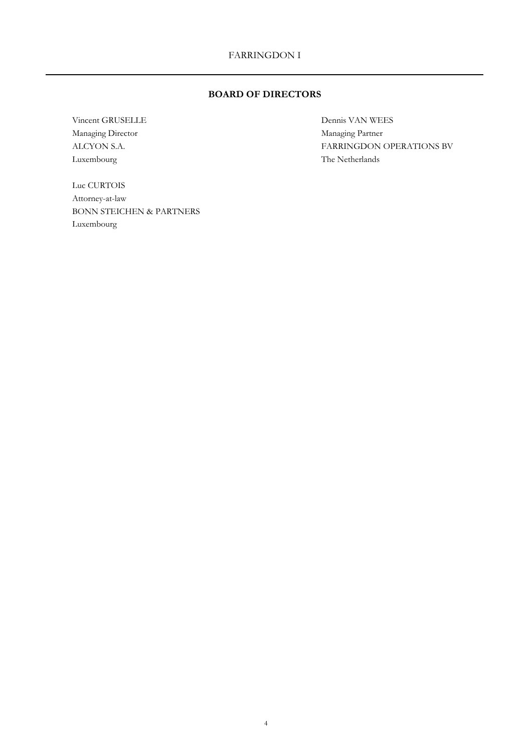## **BOARD OF DIRECTORS**

Vincent GRUSELLE Dennis VAN WEES Managing Director Managing Partner Luxembourg The Netherlands

Luc CURTOIS Attorney-at-law BONN STEICHEN & PARTNERS Luxembourg

ALCYON S.A. FARRINGDON OPERATIONS BV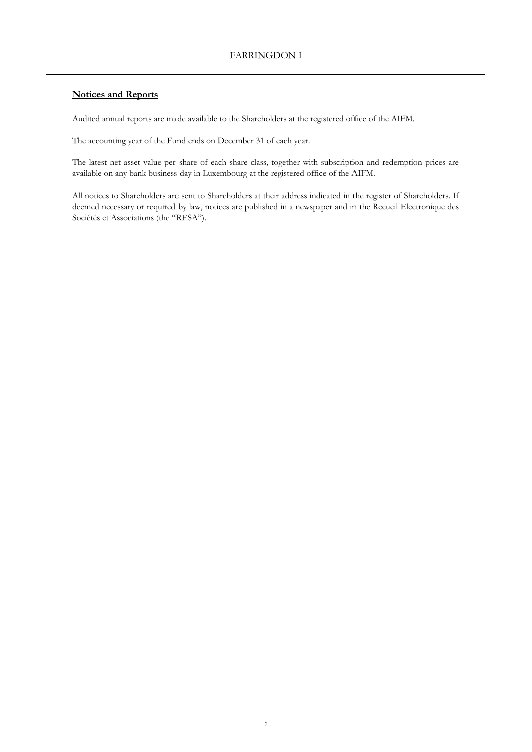## **Notices and Reports**

Audited annual reports are made available to the Shareholders at the registered office of the AIFM.

The accounting year of the Fund ends on December 31 of each year.

The latest net asset value per share of each share class, together with subscription and redemption prices are available on any bank business day in Luxembourg at the registered office of the AIFM.

All notices to Shareholders are sent to Shareholders at their address indicated in the register of Shareholders. If deemed necessary or required by law, notices are published in a newspaper and in the Recueil Electronique des Sociétés et Associations (the "RESA").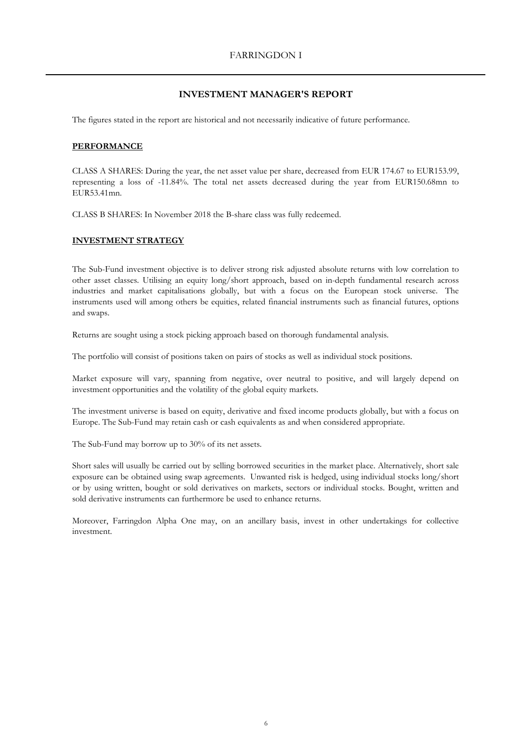## **INVESTMENT MANAGER'S REPORT**

The figures stated in the report are historical and not necessarily indicative of future performance.

## **PERFORMANCE**

CLASS A SHARES: During the year, the net asset value per share, decreased from EUR 174.67 to EUR153.99, representing a loss of -11.84%. The total net assets decreased during the year from EUR150.68mn to EUR53.41mn.

CLASS B SHARES: In November 2018 the B-share class was fully redeemed.

### **INVESTMENT STRATEGY**

The Sub-Fund investment objective is to deliver strong risk adjusted absolute returns with low correlation to other asset classes. Utilising an equity long/short approach, based on in-depth fundamental research across industries and market capitalisations globally, but with a focus on the European stock universe. The instruments used will among others be equities, related financial instruments such as financial futures, options and swaps.

Returns are sought using a stock picking approach based on thorough fundamental analysis.

The portfolio will consist of positions taken on pairs of stocks as well as individual stock positions.

Market exposure will vary, spanning from negative, over neutral to positive, and will largely depend on investment opportunities and the volatility of the global equity markets.

The investment universe is based on equity, derivative and fixed income products globally, but with a focus on Europe. The Sub-Fund may retain cash or cash equivalents as and when considered appropriate.

The Sub-Fund may borrow up to 30% of its net assets.

Short sales will usually be carried out by selling borrowed securities in the market place. Alternatively, short sale exposure can be obtained using swap agreements. Unwanted risk is hedged, using individual stocks long/short or by using written, bought or sold derivatives on markets, sectors or individual stocks. Bought, written and sold derivative instruments can furthermore be used to enhance returns.

Moreover, Farringdon Alpha One may, on an ancillary basis, invest in other undertakings for collective investment.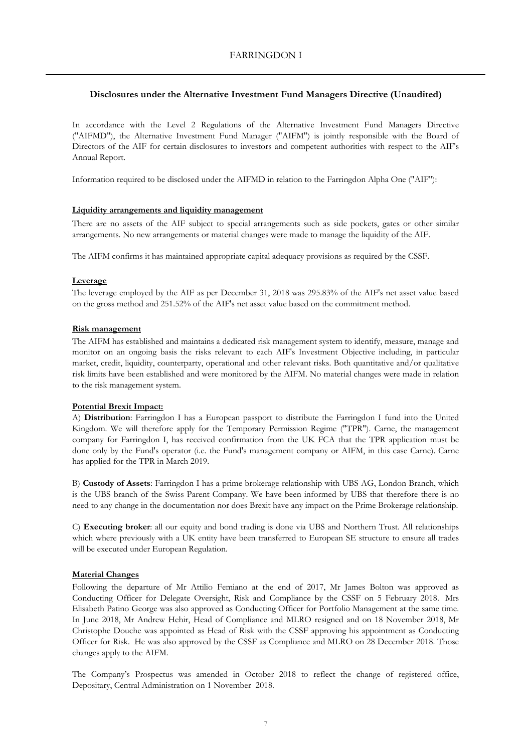## **Disclosures under the Alternative Investment Fund Managers Directive (Unaudited)**

In accordance with the Level 2 Regulations of the Alternative Investment Fund Managers Directive ("AIFMD"), the Alternative Investment Fund Manager ("AIFM") is jointly responsible with the Board of Directors of the AIF for certain disclosures to investors and competent authorities with respect to the AIF's Annual Report.

Information required to be disclosed under the AIFMD in relation to the Farringdon Alpha One ("AIF"):

## **Liquidity arrangements and liquidity management**

There are no assets of the AIF subject to special arrangements such as side pockets, gates or other similar arrangements. No new arrangements or material changes were made to manage the liquidity of the AIF.

The AIFM confirms it has maintained appropriate capital adequacy provisions as required by the CSSF.

### **Leverage**

The leverage employed by the AIF as per December 31, 2018 was 295.83% of the AIF's net asset value based on the gross method and 251.52% of the AIF's net asset value based on the commitment method.

### **Risk management**

The AIFM has established and maintains a dedicated risk management system to identify, measure, manage and monitor on an ongoing basis the risks relevant to each AIF's Investment Objective including, in particular market, credit, liquidity, counterparty, operational and other relevant risks. Both quantitative and/or qualitative risk limits have been established and were monitored by the AIFM. No material changes were made in relation to the risk management system.

## **Potential Brexit Impact:**

A) **Distribution**: Farringdon I has a European passport to distribute the Farringdon I fund into the United Kingdom. We will therefore apply for the Temporary Permission Regime ("TPR"). Carne, the management company for Farringdon I, has received confirmation from the UK FCA that the TPR application must be done only by the Fund's operator (i.e. the Fund's management company or AIFM, in this case Carne). Carne has applied for the TPR in March 2019.

B) **Custody of Assets**: Farringdon I has a prime brokerage relationship with UBS AG, London Branch, which is the UBS branch of the Swiss Parent Company. We have been informed by UBS that therefore there is no need to any change in the documentation nor does Brexit have any impact on the Prime Brokerage relationship.

C) **Executing broker**: all our equity and bond trading is done via UBS and Northern Trust. All relationships which where previously with a UK entity have been transferred to European SE structure to ensure all trades will be executed under European Regulation.

## **Material Changes**

Following the departure of Mr Attilio Femiano at the end of 2017, Mr James Bolton was approved as Conducting Officer for Delegate Oversight, Risk and Compliance by the CSSF on 5 February 2018. Mrs Elisabeth Patino George was also approved as Conducting Officer for Portfolio Management at the same time. In June 2018, Mr Andrew Hehir, Head of Compliance and MLRO resigned and on 18 November 2018, Mr Christophe Douche was appointed as Head of Risk with the CSSF approving his appointment as Conducting Officer for Risk. He was also approved by the CSSF as Compliance and MLRO on 28 December 2018. Those changes apply to the AIFM.

The Company's Prospectus was amended in October 2018 to reflect the change of registered office, Depositary, Central Administration on 1 November 2018.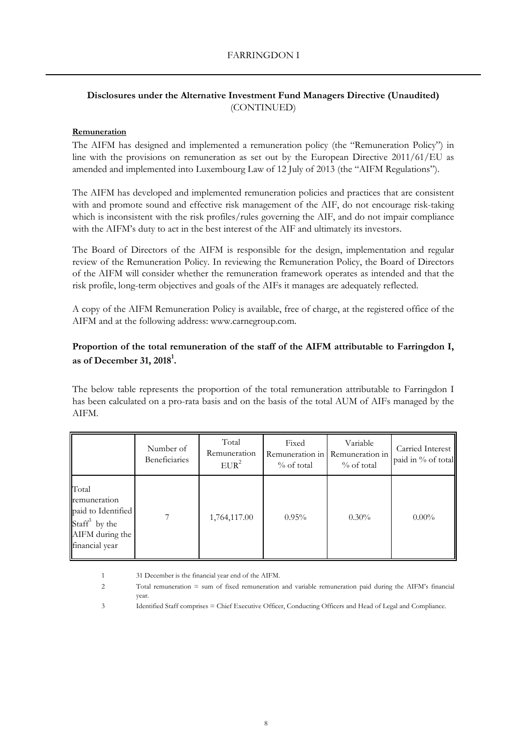## **Disclosures under the Alternative Investment Fund Managers Directive (Unaudited)** (CONTINUED)

## **Remuneration**

The AIFM has designed and implemented a remuneration policy (the "Remuneration Policy") in line with the provisions on remuneration as set out by the European Directive 2011/61/EU as amended and implemented into Luxembourg Law of 12 July of 2013 (the "AIFM Regulations").

The AIFM has developed and implemented remuneration policies and practices that are consistent with and promote sound and effective risk management of the AIF, do not encourage risk-taking which is inconsistent with the risk profiles/rules governing the AIF, and do not impair compliance with the AIFM's duty to act in the best interest of the AIF and ultimately its investors.

The Board of Directors of the AIFM is responsible for the design, implementation and regular review of the Remuneration Policy. In reviewing the Remuneration Policy, the Board of Directors of the AIFM will consider whether the remuneration framework operates as intended and that the risk profile, long-term objectives and goals of the AIFs it manages are adequately reflected.

A copy of the AIFM Remuneration Policy is available, free of charge, at the registered office of the AIFM and at the following address: www.carnegroup.com.

## **Proportion of the total remuneration of the staff of the AIFM attributable to Farringdon I, as of December 31, 2018<sup>1</sup> .**

The below table represents the proportion of the total remuneration attributable to Farringdon I has been calculated on a pro-rata basis and on the basis of the total AUM of AIFs managed by the AIFM.

|                                                                                                      | Number of<br>Beneficiaries | Total<br>Remuneration<br>EUR <sup>2</sup> | Fixed<br>Remuneration in<br>$\%$ of total | Variable<br>Remuneration in<br>$%$ of total | Carried Interest<br>paid in % of total |
|------------------------------------------------------------------------------------------------------|----------------------------|-------------------------------------------|-------------------------------------------|---------------------------------------------|----------------------------------------|
| Total<br>remuneration<br>paid to Identified<br>Staff $3$ by the<br>AIFM during the<br>financial year | 7                          | 1,764,117.00                              | 0.95%                                     | $0.30\%$                                    | $0.00\%$                               |

1 31 December is the financial year end of the AIFM.

- 2 Total remuneration = sum of fixed remuneration and variable remuneration paid during the AIFM's financial year.
- 3 Identified Staff comprises = Chief Executive Officer, Conducting Officers and Head of Legal and Compliance.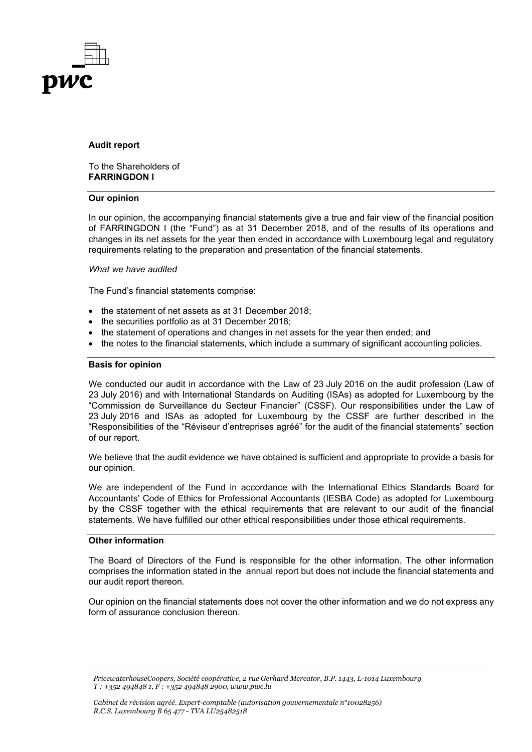

## **Audit report**

To the Shareholders of **FARRINGDON I**

#### **Our opinion**

In our opinion, the accompanying financial statements give a true and fair view of the financial position of FARRINGDON I (the "Fund") as at 31 December 2018, and of the results of its operations and changes in its net assets for the year then ended in accordance with Luxembourg legal and regulatory requirements relating to the preparation and presentation of the financial statements.

## *What we have audited*

The Fund's financial statements comprise:

- the statement of net assets as at 31 December 2018:
- the securities portfolio as at 31 December 2018;
- the statement of operations and changes in net assets for the year then ended; and
- the notes to the financial statements, which include a summary of significant accounting policies.

## **Basis for opinion**

We conducted our audit in accordance with the Law of 23 July 2016 on the audit profession (Law of 23 July 2016) and with International Standards on Auditing (ISAs) as adopted for Luxembourg by the "Commission de Surveillance du Secteur Financier" (CSSF). Our responsibilities under the Law of 23 July 2016 and ISAs as adopted for Luxembourg by the CSSF are further described in the "Responsibilities of the "Réviseur d'entreprises agréé" for the audit of the financial statements" section of our report.

We believe that the audit evidence we have obtained is sufficient and appropriate to provide a basis for our opinion.

We are independent of the Fund in accordance with the International Ethics Standards Board for Accountants' Code of Ethics for Professional Accountants (IESBA Code) as adopted for Luxembourg by the CSSF together with the ethical requirements that are relevant to our audit of the financial statements. We have fulfilled our other ethical responsibilities under those ethical requirements.

## **Other information**

The Board of Directors of the Fund is responsible for the other information. The other information comprises the information stated in the annual report but does not include the financial statements and our audit report thereon.

Our opinion on the financial statements does not cover the other information and we do not express any form of assurance conclusion thereon.

*PricewaterhouseCoopers, Société coopérative, 2 rue Gerhard Mercator, B.P. 1443, L-1014 Luxembourg T : +352 494848 1, F : +352 494848 2900, www.pwc.lu*

*Cabinet de révision agréé. Expert-comptable (autorisation gouvernementale n°10028256) R.C.S. Luxembourg B 65 477 - TVA LU25482518*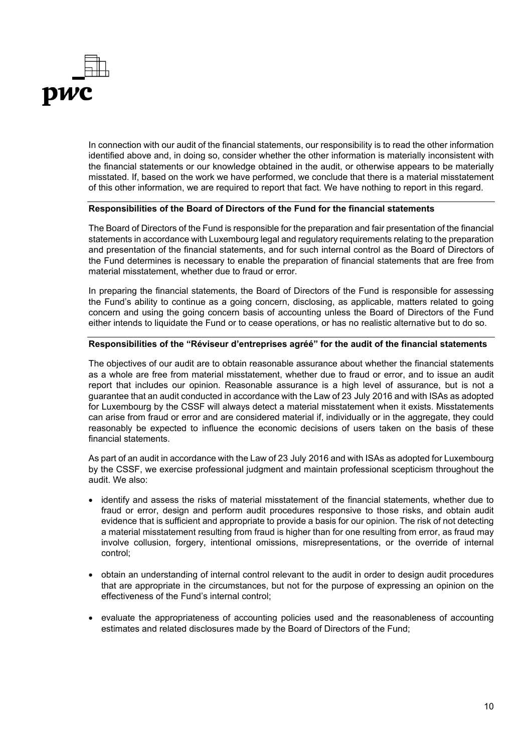

In connection with our audit of the financial statements, our responsibility is to read the other information identified above and, in doing so, consider whether the other information is materially inconsistent with the financial statements or our knowledge obtained in the audit, or otherwise appears to be materially misstated. If, based on the work we have performed, we conclude that there is a material misstatement of this other information, we are required to report that fact. We have nothing to report in this regard.

## **Responsibilities of the Board of Directors of the Fund for the financial statements**

The Board of Directors of the Fund is responsible for the preparation and fair presentation of the financial statements in accordance with Luxembourg legal and regulatory requirements relating to the preparation and presentation of the financial statements, and for such internal control as the Board of Directors of the Fund determines is necessary to enable the preparation of financial statements that are free from material misstatement, whether due to fraud or error.

In preparing the financial statements, the Board of Directors of the Fund is responsible for assessing the Fund's ability to continue as a going concern, disclosing, as applicable, matters related to going concern and using the going concern basis of accounting unless the Board of Directors of the Fund either intends to liquidate the Fund or to cease operations, or has no realistic alternative but to do so.

## **Responsibilities of the "Réviseur d'entreprises agréé" for the audit of the financial statements**

The objectives of our audit are to obtain reasonable assurance about whether the financial statements as a whole are free from material misstatement, whether due to fraud or error, and to issue an audit report that includes our opinion. Reasonable assurance is a high level of assurance, but is not a guarantee that an audit conducted in accordance with the Law of 23 July 2016 and with ISAs as adopted for Luxembourg by the CSSF will always detect a material misstatement when it exists. Misstatements can arise from fraud or error and are considered material if, individually or in the aggregate, they could reasonably be expected to influence the economic decisions of users taken on the basis of these financial statements.

As part of an audit in accordance with the Law of 23 July 2016 and with ISAs as adopted for Luxembourg by the CSSF, we exercise professional judgment and maintain professional scepticism throughout the audit. We also:

- identify and assess the risks of material misstatement of the financial statements, whether due to fraud or error, design and perform audit procedures responsive to those risks, and obtain audit evidence that is sufficient and appropriate to provide a basis for our opinion. The risk of not detecting a material misstatement resulting from fraud is higher than for one resulting from error, as fraud may involve collusion, forgery, intentional omissions, misrepresentations, or the override of internal control;
- obtain an understanding of internal control relevant to the audit in order to design audit procedures that are appropriate in the circumstances, but not for the purpose of expressing an opinion on the effectiveness of the Fund's internal control;
- evaluate the appropriateness of accounting policies used and the reasonableness of accounting estimates and related disclosures made by the Board of Directors of the Fund;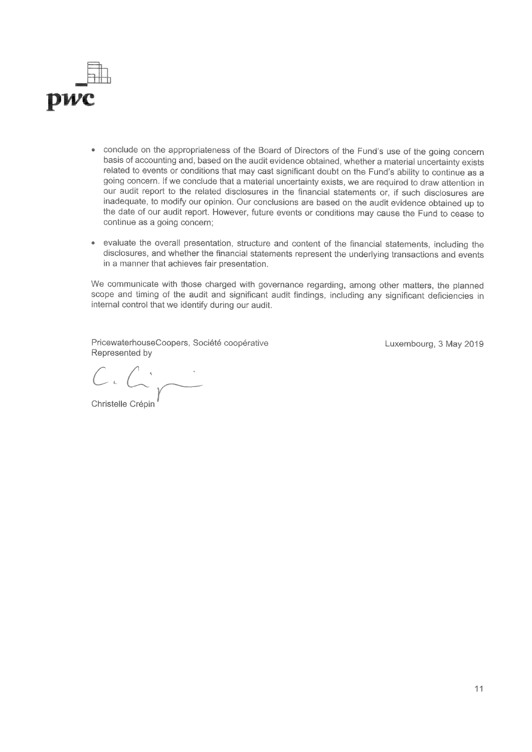

- conclude on the appropriateness of the Board of Directors of the Fund's use of the going concern basis of accounting and, based on the audit evidence obtained, whether a material uncertainty exists related to events or conditions that may cast significant doubt on the Fund's ability to continue as a going concern. if we conclude that a material uncertainty exists, we are required to draw attention in our audit report to the related disclosures in the financial statements or, if such disclosures are inadequate, to modify our opinion. Our conclusions are based on the audit evidence obtained up to the date of our audit report. However, future events or conditions may cause the Fund to cease to continue as a going concern;
- evaluate the overall presentation, structure and content of the financial statements, including the  $\bullet$ disclosures, and whether the financial statements represent the underlying transactions and events in a manner that achieves fair presentation.

We communicate with those charged with governance regarding, among other matters, the planned scope and timing of the audit and significant audit findings, including any significant deficiencies in internal control that we identify during our audit.

PricewaterhouseCoopers, Société coopérative Luxembourg, 3 May 2019 Represented by

 $C_{4}$  $C_{4}$  $C \cdot C \cdot \overbrace{C}$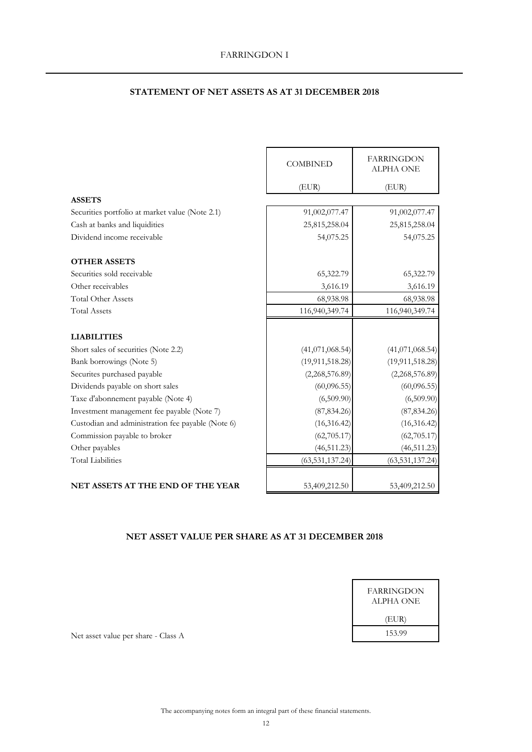## **STATEMENT OF NET ASSETS AS AT 31 DECEMBER 2018**

|                                                   | <b>COMBINED</b>   | <b>FARRINGDON</b><br><b>ALPHA ONE</b> |
|---------------------------------------------------|-------------------|---------------------------------------|
|                                                   | (EUR)             | (EUR)                                 |
| <b>ASSETS</b>                                     |                   |                                       |
| Securities portfolio at market value (Note 2.1)   | 91,002,077.47     | 91,002,077.47                         |
| Cash at banks and liquidities                     | 25,815,258.04     | 25,815,258.04                         |
| Dividend income receivable                        | 54,075.25         | 54,075.25                             |
| <b>OTHER ASSETS</b>                               |                   |                                       |
| Securities sold receivable                        | 65,322.79         | 65,322.79                             |
| Other receivables                                 | 3,616.19          | 3,616.19                              |
| <b>Total Other Assets</b>                         | 68,938.98         | 68,938.98                             |
| <b>Total Assets</b>                               | 116,940,349.74    | 116,940,349.74                        |
|                                                   |                   |                                       |
| <b>LIABILITIES</b>                                |                   |                                       |
| Short sales of securities (Note 2.2)              | (41,071,068.54)   | (41,071,068.54)                       |
| Bank borrowings (Note 5)                          | (19, 911, 518.28) | (19, 911, 518.28)                     |
| Securites purchased payable                       | (2,268,576.89)    | (2,268,576.89)                        |
| Dividends payable on short sales                  | (60,096.55)       | (60,096.55)                           |
| Taxe d'abonnement payable (Note 4)                | (6,509.90)        | (6,509.90)                            |
| Investment management fee payable (Note 7)        | (87, 834.26)      | (87, 834.26)                          |
| Custodian and administration fee payable (Note 6) | (16,316.42)       | (16, 316.42)                          |
| Commission payable to broker                      | (62, 705.17)      | (62, 705.17)                          |
| Other payables                                    | (46, 511.23)      | (46, 511.23)                          |
| <b>Total Liabilities</b>                          | (63, 531, 137.24) | (63, 531, 137.24)                     |
|                                                   |                   |                                       |
| <b>NET ASSETS AT THE END OF THE YEAR</b>          | 53,409,212.50     | 53,409,212.50                         |

## **NET ASSET VALUE PER SHARE AS AT 31 DECEMBER 2018**

| FARRINGDON<br>ALPHA ONE |  |
|-------------------------|--|
| (EUR)                   |  |
| 153.99                  |  |

Net asset value per share - Class A

The accompanying notes form an integral part of these financial statements.<br>  $$\tt 12$$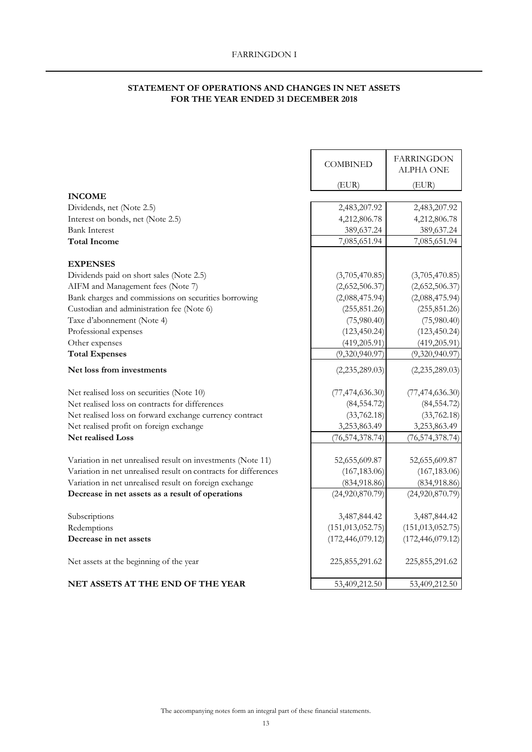## **STATEMENT OF OPERATIONS AND CHANGES IN NET ASSETS FOR THE YEAR ENDED 31 DECEMBER 2018**

|                                                                 | <b>COMBINED</b>    | <b>FARRINGDON</b><br>ALPHA ONE |
|-----------------------------------------------------------------|--------------------|--------------------------------|
|                                                                 | (EUR)              | (EUR)                          |
| <b>INCOME</b>                                                   |                    |                                |
| Dividends, net (Note 2.5)                                       | 2,483,207.92       | 2,483,207.92                   |
| Interest on bonds, net (Note 2.5)                               | 4,212,806.78       | 4,212,806.78                   |
| <b>Bank Interest</b>                                            | 389,637.24         | 389,637.24                     |
| <b>Total Income</b>                                             | 7,085,651.94       | 7,085,651.94                   |
| <b>EXPENSES</b>                                                 |                    |                                |
| Dividends paid on short sales (Note 2.5)                        | (3,705,470.85)     | (3,705,470.85)                 |
| AIFM and Management fees (Note 7)                               | (2,652,506.37)     | (2,652,506.37)                 |
| Bank charges and commissions on securities borrowing            | (2,088,475.94)     | (2,088,475.94)                 |
| Custodian and administration fee (Note 6)                       | (255, 851.26)      | (255, 851.26)                  |
| Taxe d'abonnement (Note 4)                                      | (75,980.40)        | (75,980.40)                    |
| Professional expenses                                           | (123, 450.24)      | (123, 450.24)                  |
| Other expenses                                                  | (419, 205.91)      | (419, 205.91)                  |
| <b>Total Expenses</b>                                           | (9,320,940.97)     | (9,320,940.97)                 |
| Net loss from investments                                       | (2,235,289.03)     | (2,235,289.03)                 |
| Net realised loss on securities (Note 10)                       | (77, 474, 636.30)  | (77, 474, 636.30)              |
| Net realised loss on contracts for differences                  | (84, 554.72)       | (84, 554.72)                   |
| Net realised loss on forward exchange currency contract         | (33,762.18)        | (33,762.18)                    |
| Net realised profit on foreign exchange                         | 3,253,863.49       | 3,253,863.49                   |
| <b>Net realised Loss</b>                                        | (76, 574, 378.74)  | (76, 574, 378.74)              |
| Variation in net unrealised result on investments (Note 11)     | 52,655,609.87      | 52,655,609.87                  |
| Variation in net unrealised result on contracts for differences | (167, 183.06)      | (167, 183.06)                  |
| Variation in net unrealised result on foreign exchange          | (834,918.86)       | (834,918.86)                   |
| Decrease in net assets as a result of operations                | (24,920,870.79)    | (24,920,870.79)                |
| Subscriptions                                                   | 3,487,844.42       | 3,487,844.42                   |
| Redemptions                                                     | (151, 013, 052.75) | (151, 013, 052.75)             |
| Decrease in net assets                                          | (172, 446, 079.12) | (172, 446, 079.12)             |
| Net assets at the beginning of the year                         | 225,855,291.62     | 225,855,291.62                 |
| <b>NET ASSETS AT THE END OF THE YEAR</b>                        | 53,409,212.50      | 53,409,212.50                  |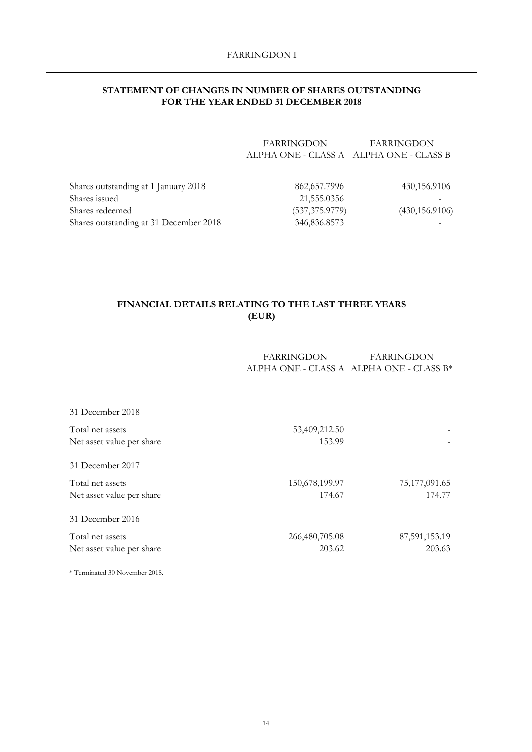## **STATEMENT OF CHANGES IN NUMBER OF SHARES OUTSTANDING FOR THE YEAR ENDED 31 DECEMBER 2018**

| <b>FARRINGDON</b>                         | FARRINGDON |  |
|-------------------------------------------|------------|--|
| ALPHA ONE - CLASS A – ALPHA ONE - CLASS B |            |  |

| Shares outstanding at 1 January 2018   | 862,657.7996    | 430,156.9106    |
|----------------------------------------|-----------------|-----------------|
| Shares issued                          | 21,555.0356     |                 |
| Shares redeemed                        | (537, 375.9779) | (430, 156.9106) |
| Shares outstanding at 31 December 2018 | 346,836.8573    |                 |
|                                        |                 |                 |

## **FINANCIAL DETAILS RELATING TO THE LAST THREE YEARS (EUR)**

FARRINGDON ALPHA ONE - CLASS A ALPHA ONE - CLASS B\* FARRINGDON

| 31 December 2018          |                |               |
|---------------------------|----------------|---------------|
| Total net assets          | 53,409,212.50  |               |
| Net asset value per share | 153.99         |               |
| 31 December 2017          |                |               |
| Total net assets          | 150,678,199.97 | 75,177,091.65 |
| Net asset value per share | 174.67         | 174.77        |
| 31 December 2016          |                |               |
| Total net assets          | 266,480,705.08 | 87,591,153.19 |
| Net asset value per share | 203.62         | 203.63        |
|                           |                |               |

\* Terminated 30 November 2018.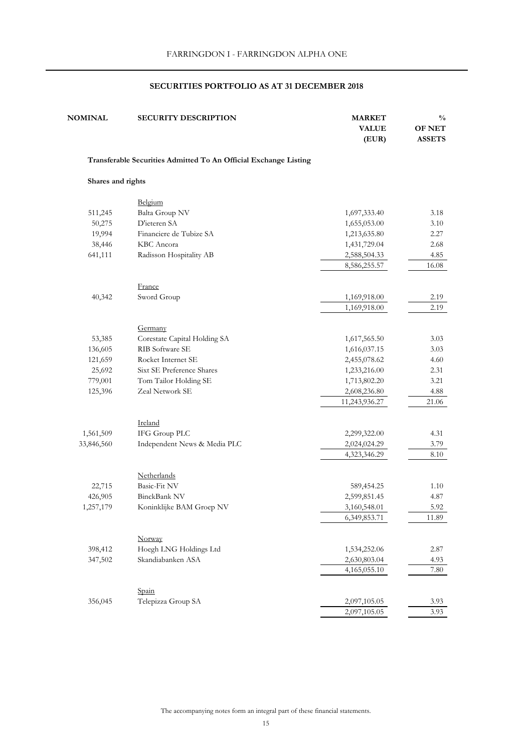| <b>NOMINAL</b>    | <b>SECURITY DESCRIPTION</b>                                      | <b>MARKET</b><br><b>VALUE</b><br>(EUR) | $\frac{0}{0}$<br><b>OF NET</b><br><b>ASSETS</b> |
|-------------------|------------------------------------------------------------------|----------------------------------------|-------------------------------------------------|
|                   | Transferable Securities Admitted To An Official Exchange Listing |                                        |                                                 |
| Shares and rights |                                                                  |                                        |                                                 |
|                   | Belgium                                                          |                                        |                                                 |
| 511,245           | Balta Group NV                                                   | 1,697,333.40                           | 3.18                                            |
| 50,275            | D'ieteren SA                                                     | 1,655,053.00                           | 3.10                                            |
| 19,994            | Financiere de Tubize SA                                          | 1,213,635.80                           | 2.27                                            |
| 38,446            | KBC Ancora                                                       | 1,431,729.04                           | 2.68                                            |
| 641,111           | Radisson Hospitality AB                                          | 2,588,504.33                           | 4.85                                            |
|                   |                                                                  | 8,586,255.57                           | 16.08                                           |
|                   |                                                                  |                                        |                                                 |
|                   | France                                                           |                                        |                                                 |
| 40,342            | Sword Group                                                      | 1,169,918.00                           | 2.19                                            |
|                   |                                                                  | 1,169,918.00                           | 2.19                                            |
|                   |                                                                  |                                        |                                                 |
|                   | Germany                                                          |                                        |                                                 |
| 53,385            | Corestate Capital Holding SA                                     | 1,617,565.50                           | 3.03                                            |
| 136,605           | RIB Software SE                                                  | 1,616,037.15                           | 3.03                                            |
| 121,659           | Rocket Internet SE                                               | 2,455,078.62                           | 4.60                                            |
| 25,692            | Sixt SE Preference Shares                                        | 1,233,216.00                           | 2.31                                            |
| 779,001           | Tom Tailor Holding SE                                            | 1,713,802.20                           | 3.21                                            |
| 125,396           | Zeal Network SE                                                  | 2,608,236.80                           | 4.88                                            |
|                   |                                                                  | 11,243,936.27                          | 21.06                                           |
|                   | Ireland                                                          |                                        |                                                 |
| 1,561,509         | IFG Group PLC                                                    | 2,299,322.00                           | 4.31                                            |
| 33,846,560        | Independent News & Media PLC                                     | 2,024,024.29                           | 3.79                                            |
|                   |                                                                  | 4,323,346.29                           | 8.10                                            |
|                   |                                                                  |                                        |                                                 |
|                   | Netherlands                                                      |                                        |                                                 |
| 22,715            | Basic-Fit NV                                                     | 589,454.25                             | 1.10                                            |
| 426,905           | BinckBank NV                                                     | 2,599,851.45                           | 4.87                                            |
| 1,257,179         | Koninklijke BAM Groep NV                                         | 3,160,548.01                           | 5.92                                            |
|                   |                                                                  | 6,349,853.71                           | 11.89                                           |
|                   |                                                                  |                                        |                                                 |
|                   | Norway                                                           |                                        |                                                 |
| 398,412           | Hoegh LNG Holdings Ltd                                           | 1,534,252.06                           | 2.87                                            |
| 347,502           | Skandiabanken ASA                                                | 2,630,803.04                           | 4.93                                            |
|                   |                                                                  | 4,165,055.10                           | 7.80                                            |
|                   |                                                                  |                                        |                                                 |
|                   | Spain                                                            |                                        |                                                 |
| 356,045           | Telepizza Group SA                                               | 2,097,105.05                           | 3.93                                            |
|                   |                                                                  | 2,097,105.05                           | 3.93                                            |

The accompanying notes form an integral part of these financial statements.  $$\sf 15$$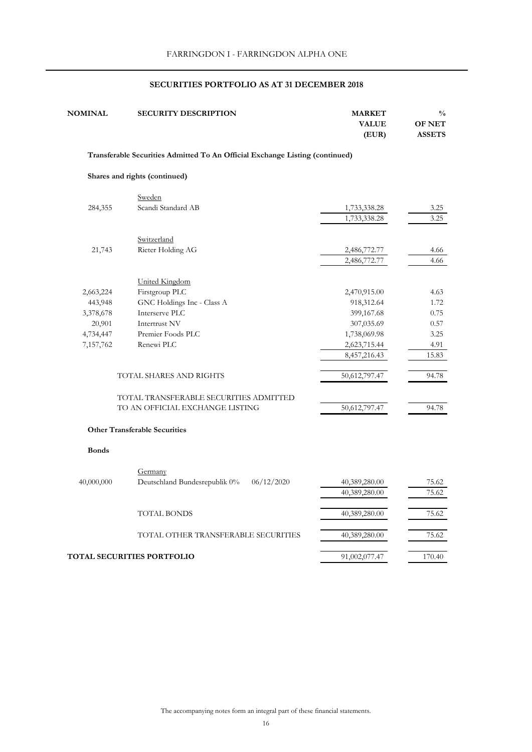| <b>NOMINAL</b> | <b>SECURITY DESCRIPTION</b>                                                  | <b>MARKET</b><br><b>VALUE</b><br>(EUR) | $\frac{0}{0}$<br><b>OF NET</b><br><b>ASSETS</b> |
|----------------|------------------------------------------------------------------------------|----------------------------------------|-------------------------------------------------|
|                | Transferable Securities Admitted To An Official Exchange Listing (continued) |                                        |                                                 |
|                | Shares and rights (continued)                                                |                                        |                                                 |
|                | Sweden                                                                       |                                        |                                                 |
| 284,355        | Scandi Standard AB                                                           | 1,733,338.28<br>1,733,338.28           | 3.25<br>3.25                                    |
|                |                                                                              |                                        |                                                 |
| 21,743         | Switzerland<br>Rieter Holding AG                                             | 2,486,772.77                           |                                                 |
|                |                                                                              | 2,486,772.77                           | 4.66<br>4.66                                    |
|                | <b>United Kingdom</b>                                                        |                                        |                                                 |
| 2,663,224      | Firstgroup PLC                                                               | 2,470,915.00                           | 4.63                                            |
| 443,948        | GNC Holdings Inc - Class A                                                   | 918,312.64                             | 1.72                                            |
| 3,378,678      | Interserve PLC                                                               | 399,167.68                             | 0.75                                            |
| 20,901         | Intertrust NV                                                                | 307,035.69                             | 0.57                                            |
| 4,734,447      | Premier Foods PLC                                                            | 1,738,069.98                           | 3.25                                            |
| 7,157,762      | Renewi PLC                                                                   | 2,623,715.44                           | 4.91                                            |
|                |                                                                              | 8,457,216.43                           | 15.83                                           |
|                | TOTAL SHARES AND RIGHTS                                                      | 50,612,797.47                          | 94.78                                           |
|                | TOTAL TRANSFERABLE SECURITIES ADMITTED                                       |                                        |                                                 |
|                | TO AN OFFICIAL EXCHANGE LISTING                                              | 50,612,797.47                          | 94.78                                           |
|                | <b>Other Transferable Securities</b>                                         |                                        |                                                 |
| <b>Bonds</b>   |                                                                              |                                        |                                                 |
|                | Germany                                                                      |                                        |                                                 |
| 40,000,000     | Deutschland Bundesrepublik 0%<br>06/12/2020                                  | 40,389,280.00                          | 75.62                                           |
|                |                                                                              | 40,389,280.00                          | 75.62                                           |
|                | <b>TOTAL BONDS</b>                                                           | 40,389,280.00                          | 75.62                                           |
|                | TOTAL OTHER TRANSFERABLE SECURITIES                                          | 40,389,280.00                          | 75.62                                           |
|                | <b>TOTAL SECURITIES PORTFOLIO</b>                                            | 91,002,077.47                          | 170.40                                          |
|                |                                                                              |                                        |                                                 |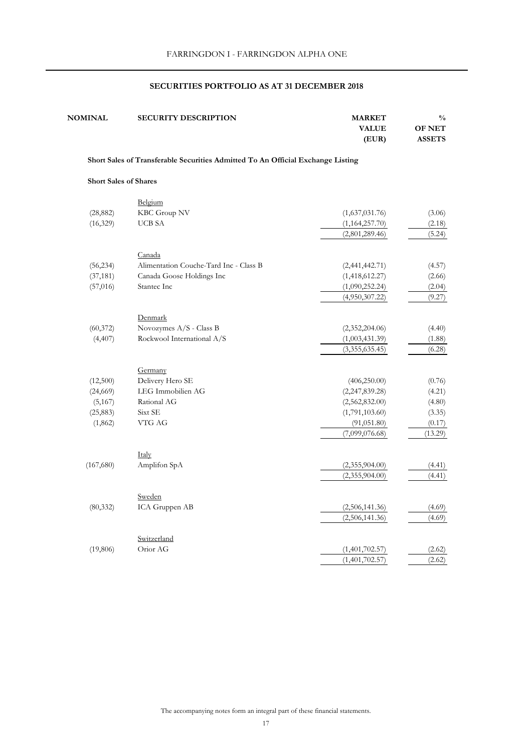| <b>NOMINAL</b>                                                                  | <b>SECURITY DESCRIPTION</b>            | <b>MARKET</b><br><b>VALUE</b><br>(EUR) | $\frac{0}{0}$<br><b>OF NET</b><br><b>ASSETS</b> |  |  |
|---------------------------------------------------------------------------------|----------------------------------------|----------------------------------------|-------------------------------------------------|--|--|
| Short Sales of Transferable Securities Admitted To An Official Exchange Listing |                                        |                                        |                                                 |  |  |
| <b>Short Sales of Shares</b>                                                    |                                        |                                        |                                                 |  |  |
|                                                                                 | Belgium                                |                                        |                                                 |  |  |
| (28, 882)                                                                       | KBC Group NV                           | (1,637,031.76)                         | (3.06)                                          |  |  |
| (16, 329)                                                                       | <b>UCB SA</b>                          | (1,164,257.70)                         | (2.18)                                          |  |  |
|                                                                                 |                                        | (2,801,289.46)                         | (5.24)                                          |  |  |
|                                                                                 | Canada                                 |                                        |                                                 |  |  |
| (56, 234)                                                                       | Alimentation Couche-Tard Inc - Class B | (2,441,442.71)                         | (4.57)                                          |  |  |
| (37, 181)                                                                       | Canada Goose Holdings Inc              | (1,418,612.27)                         | (2.66)                                          |  |  |
| (57, 016)                                                                       | Stantec Inc                            | (1,090,252.24)                         | (2.04)                                          |  |  |
|                                                                                 |                                        | (4,950,307.22)                         | (9.27)                                          |  |  |
|                                                                                 | Denmark                                |                                        |                                                 |  |  |
| (60, 372)                                                                       | Novozymes A/S - Class B                | (2,352,204.06)                         | (4.40)                                          |  |  |
| (4, 407)                                                                        | Rockwool International A/S             | (1,003,431.39)                         | (1.88)                                          |  |  |
|                                                                                 |                                        | (3,355,635.45)                         | (6.28)                                          |  |  |
|                                                                                 | Germany                                |                                        |                                                 |  |  |
| (12,500)                                                                        | Delivery Hero SE                       | (406, 250.00)                          | (0.76)                                          |  |  |
| (24, 669)                                                                       | LEG Immobilien AG                      | (2,247,839.28)                         | (4.21)                                          |  |  |
| (5,167)                                                                         | Rational AG                            | (2,562,832.00)                         | (4.80)                                          |  |  |
| (25, 883)                                                                       | Sixt SE                                | (1,791,103.60)                         | (3.35)                                          |  |  |
| (1, 862)                                                                        | VTG AG                                 | (91, 051.80)                           | (0.17)                                          |  |  |
|                                                                                 |                                        | (7,099,076.68)                         | (13.29)                                         |  |  |
|                                                                                 | Italy                                  |                                        |                                                 |  |  |
| (167, 680)                                                                      | Amplifon SpA                           | (2,355,904.00)                         | (4.41)                                          |  |  |
|                                                                                 |                                        | (2,355,904.00)                         | (4.41)                                          |  |  |
|                                                                                 |                                        |                                        |                                                 |  |  |
| (80, 332)                                                                       | Sweden<br>ICA Gruppen AB               | (2,506,141.36)                         | (4.69)                                          |  |  |
|                                                                                 |                                        | (2,506,141.36)                         | (4.69)                                          |  |  |
|                                                                                 | Switzerland                            |                                        |                                                 |  |  |
| (19, 806)                                                                       | Orior AG                               | (1,401,702.57)                         | (2.62)                                          |  |  |
|                                                                                 |                                        | (1,401,702.57)                         | (2.62)                                          |  |  |

The accompanying notes form an integral part of these financial statements.  $$\sf 17$$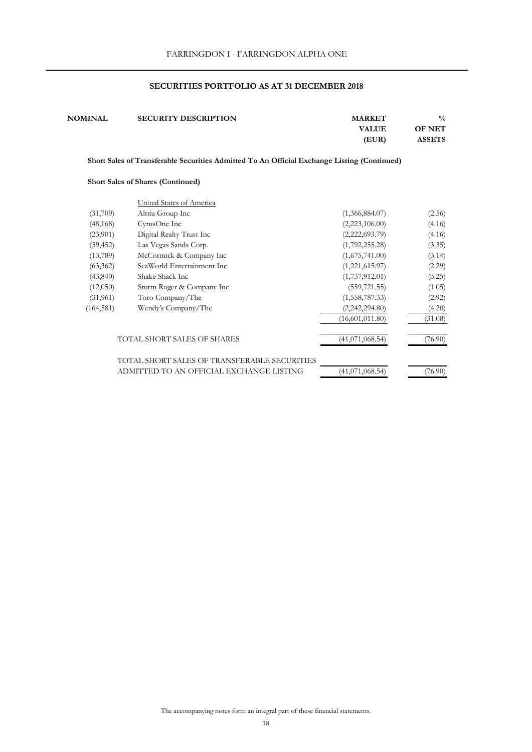| <b>NOMINAL</b>                                                                              | <b>SECURITY DESCRIPTION</b>              | <b>MARKET</b><br><b>VALUE</b> | $\frac{0}{0}$<br><b>OF NET</b> |  |
|---------------------------------------------------------------------------------------------|------------------------------------------|-------------------------------|--------------------------------|--|
|                                                                                             |                                          | (EUR)                         | <b>ASSETS</b>                  |  |
| Short Sales of Transferable Securities Admitted To An Official Exchange Listing (Continued) |                                          |                               |                                |  |
|                                                                                             | <b>Short Sales of Shares (Continued)</b> |                               |                                |  |
|                                                                                             | United States of America                 |                               |                                |  |
| (31,709)                                                                                    | Altria Group Inc                         | (1,366,884.07)                | (2.56)                         |  |
| (48, 168)                                                                                   | CyrusOne Inc                             | (2,223,106.00)                | (4.16)                         |  |
| (23,901)                                                                                    | Digital Realty Trust Inc                 | (2,222,693.79)                | (4.16)                         |  |
| (39, 452)                                                                                   | Las Vegas Sands Corp.                    | (1,792,255.28)                | (3.35)                         |  |
| (13,789)                                                                                    | McCormick & Company Inc                  | (1,675,741.00)                | (3.14)                         |  |

 (63,362) SeaWorld Entertainment Inc (1,221,615.97) (2.29) (43,840) Shake Shack Inc (1,737,912.01) (3.25) (12,050) Sturm Ruger & Company Inc (559,721.55) (1.05) (31,961) Toro Company/The (1,558,787.33) (2.92) (164,581) Wendy's Company/The (2,242,294.80) (4.20)

TOTAL SHORT SALES OF SHARES  $(41,071,068.54)$   $(76.90)$ 

ADMITTED TO AN OFFICIAL EXCHANGE LISTING  $(41,071,068.54)$  (76.90)

TOTAL SHORT SALES OF TRANSFERABLE SECURITIES

 $(16,601,011.80)$   $(31.08)$ 

The accompanying notes form an integral part of these financial statements.  $$\sf 18$$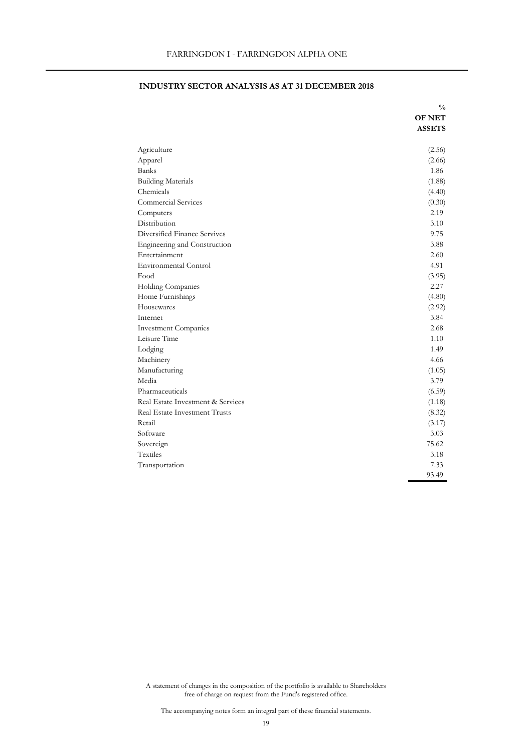|                                   | $\frac{v}{0}$ |
|-----------------------------------|---------------|
|                                   | <b>OF NET</b> |
|                                   | <b>ASSETS</b> |
|                                   |               |
| Agriculture                       | (2.56)        |
| Apparel                           | (2.66)        |
| <b>Banks</b>                      | 1.86          |
| <b>Building Materials</b>         | (1.88)        |
| Chemicals                         | (4.40)        |
| Commercial Services               | (0.30)        |
| Computers                         | 2.19          |
| Distribution                      | 3.10          |
| Diversified Finance Servives      | 9.75          |
| Engineering and Construction      | 3.88          |
| Entertainment                     | 2.60          |
| Environmental Control             | 4.91          |
| Food                              | (3.95)        |
| Holding Companies                 | 2.27          |
| Home Furnishings                  | (4.80)        |
| Housewares                        | (2.92)        |
| Internet                          | 3.84          |
| <b>Investment Companies</b>       | 2.68          |
| Leisure Time                      | 1.10          |
| Lodging                           | 1.49          |
| Machinery                         | 4.66          |
| Manufacturing                     | (1.05)        |
| Media                             | 3.79          |
| Pharmaceuticals                   | (6.59)        |
| Real Estate Investment & Services | (1.18)        |
| Real Estate Investment Trusts     | (8.32)        |
| Retail                            | (3.17)        |
| Software                          | 3.03          |
| Sovereign                         | 75.62         |
| Textiles                          | 3.18          |
| Transportation                    | 7.33          |
|                                   | 93.49         |

## **INDUSTRY SECTOR ANALYSIS AS AT 31 DECEMBER 2018**

**%**

19 A statement of changes in the composition of the portfolio is available to Shareholders<br>free of change on request from the Fund's registered office.<br>The accompanying notes form an integral part of these financial statem free of charge on request from the Fund's registered office.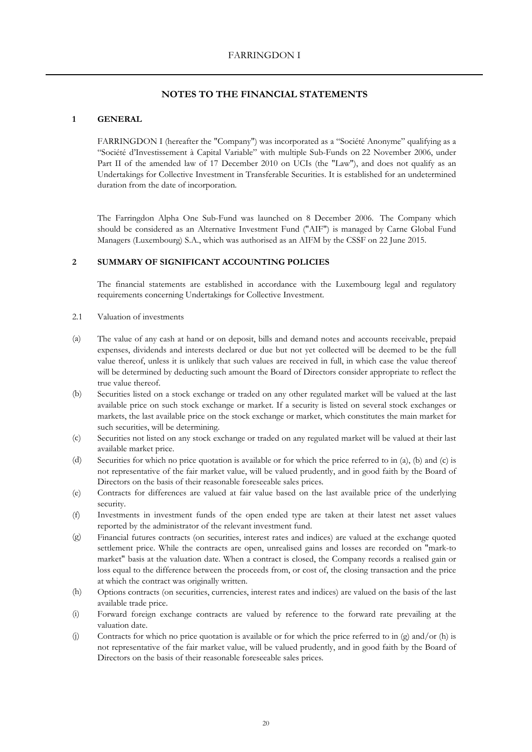## **1 GENERAL**

FARRINGDON I (hereafter the "Company") was incorporated as a "Société Anonyme" qualifying as a "Société d'Investissement à Capital Variable" with multiple Sub-Funds on 22 November 2006, under Part II of the amended law of 17 December 2010 on UCIs (the "Law"), and does not qualify as an Undertakings for Collective Investment in Transferable Securities. It is established for an undetermined duration from the date of incorporation.

The Farringdon Alpha One Sub-Fund was launched on 8 December 2006. The Company which should be considered as an Alternative Investment Fund ("AIF") is managed by Carne Global Fund Managers (Luxembourg) S.A., which was authorised as an AIFM by the CSSF on 22 June 2015.

## **2 SUMMARY OF SIGNIFICANT ACCOUNTING POLICIES**

The financial statements are established in accordance with the Luxembourg legal and regulatory requirements concerning Undertakings for Collective Investment.

- 2.1 Valuation of investments
- (a) The value of any cash at hand or on deposit, bills and demand notes and accounts receivable, prepaid expenses, dividends and interests declared or due but not yet collected will be deemed to be the full value thereof, unless it is unlikely that such values are received in full, in which case the value thereof will be determined by deducting such amount the Board of Directors consider appropriate to reflect the true value thereof.
- (b) Securities listed on a stock exchange or traded on any other regulated market will be valued at the last available price on such stock exchange or market. If a security is listed on several stock exchanges or markets, the last available price on the stock exchange or market, which constitutes the main market for such securities, will be determining.
- (c) Securities not listed on any stock exchange or traded on any regulated market will be valued at their last available market price.
- (d) Securities for which no price quotation is available or for which the price referred to in (a), (b) and (c) is not representative of the fair market value, will be valued prudently, and in good faith by the Board of Directors on the basis of their reasonable foreseeable sales prices.
- (e) Contracts for differences are valued at fair value based on the last available price of the underlying security.
- (f) Investments in investment funds of the open ended type are taken at their latest net asset values reported by the administrator of the relevant investment fund.
- (g) Financial futures contracts (on securities, interest rates and indices) are valued at the exchange quoted settlement price. While the contracts are open, unrealised gains and losses are recorded on "mark-to market" basis at the valuation date. When a contract is closed, the Company records a realised gain or loss equal to the difference between the proceeds from, or cost of, the closing transaction and the price at which the contract was originally written.
- (h) Options contracts (on securities, currencies, interest rates and indices) are valued on the basis of the last available trade price.
- (i) Forward foreign exchange contracts are valued by reference to the forward rate prevailing at the valuation date.
- (j) Contracts for which no price quotation is available or for which the price referred to in (g) and/or (h) is not representative of the fair market value, will be valued prudently, and in good faith by the Board of Directors on the basis of their reasonable foreseeable sales prices.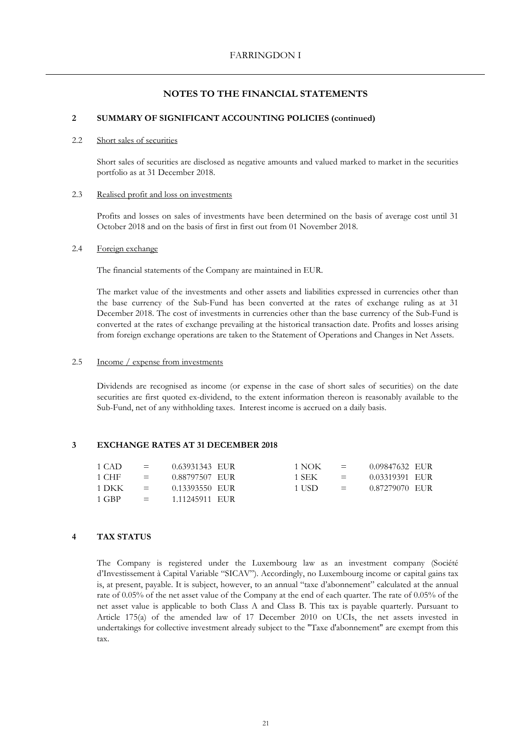#### **2 SUMMARY OF SIGNIFICANT ACCOUNTING POLICIES (continued)**

#### 2.2 Short sales of securities

Short sales of securities are disclosed as negative amounts and valued marked to market in the securities portfolio as at 31 December 2018.

## 2.3 Realised profit and loss on investments

Profits and losses on sales of investments have been determined on the basis of average cost until 31 October 2018 and on the basis of first in first out from 01 November 2018.

## 2.4 Foreign exchange

The financial statements of the Company are maintained in EUR.

The market value of the investments and other assets and liabilities expressed in currencies other than the base currency of the Sub-Fund has been converted at the rates of exchange ruling as at 31 December 2018. The cost of investments in currencies other than the base currency of the Sub-Fund is converted at the rates of exchange prevailing at the historical transaction date. Profits and losses arising from foreign exchange operations are taken to the Statement of Operations and Changes in Net Assets.

#### 2.5 Income / expense from investments

Dividends are recognised as income (or expense in the case of short sales of securities) on the date securities are first quoted ex-dividend, to the extent information thereon is reasonably available to the Sub-Fund, net of any withholding taxes. Interest income is accrued on a daily basis.

## **3 EXCHANGE RATES AT 31 DECEMBER 2018**

| 1 CAD.  | $\mathbf{r} = \mathbf{r}$ | 0.63931343 EUR  | 1 NOK -  | $\equiv$             | 0.09847632 EUR |  |
|---------|---------------------------|-----------------|----------|----------------------|----------------|--|
| 1 CHF - | and the state of the      | 0.88797507 EUR  | 1 SEK -  | and the set          | 0.03319391 EUR |  |
| 1 DKK - | and the state of the      | 0.13393550 EUR  | -1 USD - | and the state of the | 0.87279070 EUR |  |
| 1 GBP - | and the state of the      | -1.11245911 EUR |          |                      |                |  |

## **4 TAX STATUS**

The Company is registered under the Luxembourg law as an investment company (Société d'Investissement à Capital Variable "SICAV"). Accordingly, no Luxembourg income or capital gains tax is, at present, payable. It is subject, however, to an annual "taxe d'abonnement" calculated at the annual rate of 0.05% of the net asset value of the Company at the end of each quarter. The rate of 0.05% of the net asset value is applicable to both Class A and Class B. This tax is payable quarterly. Pursuant to Article 175(a) of the amended law of 17 December 2010 on UCIs, the net assets invested in undertakings for collective investment already subject to the "Taxe d'abonnement" are exempt from this tax.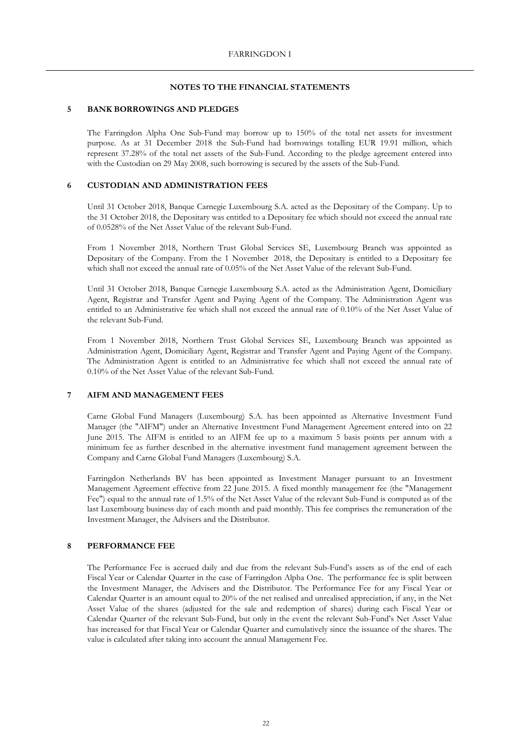#### **5 BANK BORROWINGS AND PLEDGES**

The Farringdon Alpha One Sub-Fund may borrow up to 150% of the total net assets for investment purpose. As at 31 December 2018 the Sub-Fund had borrowings totalling EUR 19.91 million, which represent 37.28% of the total net assets of the Sub-Fund. According to the pledge agreement entered into with the Custodian on 29 May 2008, such borrowing is secured by the assets of the Sub-Fund.

#### **6 CUSTODIAN AND ADMINISTRATION FEES**

Until 31 October 2018, Banque Carnegie Luxembourg S.A. acted as the Depositary of the Company. Up to the 31 October 2018, the Depositary was entitled to a Depositary fee which should not exceed the annual rate of 0.0528% of the Net Asset Value of the relevant Sub-Fund.

From 1 November 2018, Northern Trust Global Services SE, Luxembourg Branch was appointed as Depositary of the Company. From the 1 November 2018, the Depositary is entitled to a Depositary fee which shall not exceed the annual rate of 0.05% of the Net Asset Value of the relevant Sub-Fund.

Until 31 October 2018, Banque Carnegie Luxembourg S.A. acted as the Administration Agent, Domiciliary Agent, Registrar and Transfer Agent and Paying Agent of the Company. The Administration Agent was entitled to an Administrative fee which shall not exceed the annual rate of 0.10% of the Net Asset Value of the relevant Sub-Fund.

From 1 November 2018, Northern Trust Global Services SE, Luxembourg Branch was appointed as Administration Agent, Domiciliary Agent, Registrar and Transfer Agent and Paying Agent of the Company. The Administration Agent is entitled to an Administrative fee which shall not exceed the annual rate of 0.10% of the Net Asset Value of the relevant Sub-Fund.

#### **7 AIFM AND MANAGEMENT FEES**

Carne Global Fund Managers (Luxembourg) S.A. has been appointed as Alternative Investment Fund Manager (the "AIFM") under an Alternative Investment Fund Management Agreement entered into on 22 June 2015. The AIFM is entitled to an AIFM fee up to a maximum 5 basis points per annum with a minimum fee as further described in the alternative investment fund management agreement between the Company and Carne Global Fund Managers (Luxembourg) S.A.

Farringdon Netherlands BV has been appointed as Investment Manager pursuant to an Investment Management Agreement effective from 22 June 2015. A fixed monthly management fee (the "Management Fee") equal to the annual rate of 1.5% of the Net Asset Value of the relevant Sub-Fund is computed as of the last Luxembourg business day of each month and paid monthly. This fee comprises the remuneration of the Investment Manager, the Advisers and the Distributor.

#### **8 PERFORMANCE FEE**

The Performance Fee is accrued daily and due from the relevant Sub-Fund's assets as of the end of each Fiscal Year or Calendar Quarter in the case of Farringdon Alpha One. The performance fee is split between the Investment Manager, the Advisers and the Distributor. The Performance Fee for any Fiscal Year or Calendar Quarter is an amount equal to 20% of the net realised and unrealised appreciation, if any, in the Net Asset Value of the shares (adjusted for the sale and redemption of shares) during each Fiscal Year or Calendar Quarter of the relevant Sub-Fund, but only in the event the relevant Sub-Fund's Net Asset Value has increased for that Fiscal Year or Calendar Quarter and cumulatively since the issuance of the shares. The value is calculated after taking into account the annual Management Fee.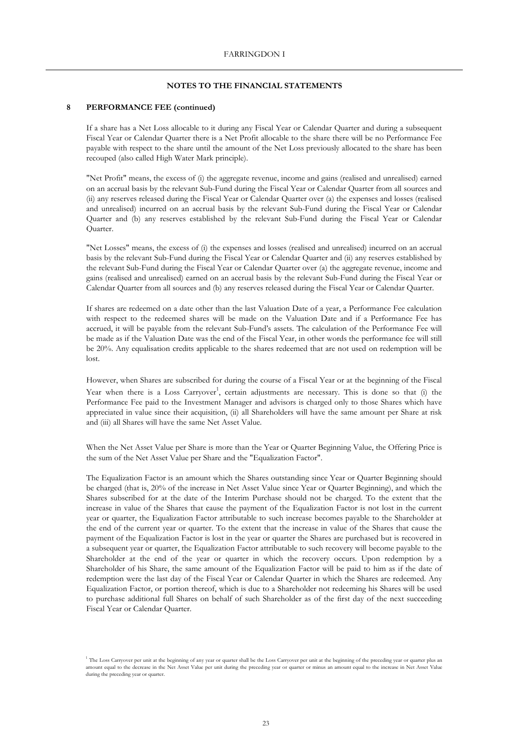#### **8 PERFORMANCE FEE (continued)**

If a share has a Net Loss allocable to it during any Fiscal Year or Calendar Quarter and during a subsequent Fiscal Year or Calendar Quarter there is a Net Profit allocable to the share there will be no Performance Fee payable with respect to the share until the amount of the Net Loss previously allocated to the share has been recouped (also called High Water Mark principle).

"Net Profit" means, the excess of (i) the aggregate revenue, income and gains (realised and unrealised) earned on an accrual basis by the relevant Sub-Fund during the Fiscal Year or Calendar Quarter from all sources and (ii) any reserves released during the Fiscal Year or Calendar Quarter over (a) the expenses and losses (realised and unrealised) incurred on an accrual basis by the relevant Sub-Fund during the Fiscal Year or Calendar Quarter and (b) any reserves established by the relevant Sub-Fund during the Fiscal Year or Calendar Quarter.

"Net Losses" means, the excess of (i) the expenses and losses (realised and unrealised) incurred on an accrual basis by the relevant Sub-Fund during the Fiscal Year or Calendar Quarter and (ii) any reserves established by the relevant Sub-Fund during the Fiscal Year or Calendar Quarter over (a) the aggregate revenue, income and gains (realised and unrealised) earned on an accrual basis by the relevant Sub-Fund during the Fiscal Year or Calendar Quarter from all sources and (b) any reserves released during the Fiscal Year or Calendar Quarter.

If shares are redeemed on a date other than the last Valuation Date of a year, a Performance Fee calculation with respect to the redeemed shares will be made on the Valuation Date and if a Performance Fee has accrued, it will be payable from the relevant Sub-Fund's assets. The calculation of the Performance Fee will be made as if the Valuation Date was the end of the Fiscal Year, in other words the performance fee will still be 20%. Any equalisation credits applicable to the shares redeemed that are not used on redemption will be lost.

However, when Shares are subscribed for during the course of a Fiscal Year or at the beginning of the Fiscal Year when there is a Loss Carryover<sup>1</sup>, certain adjustments are necessary. This is done so that  $(i)$  the Performance Fee paid to the Investment Manager and advisors is charged only to those Shares which have appreciated in value since their acquisition, (ii) all Shareholders will have the same amount per Share at risk and (iii) all Shares will have the same Net Asset Value.

When the Net Asset Value per Share is more than the Year or Quarter Beginning Value, the Offering Price is the sum of the Net Asset Value per Share and the "Equalization Factor".

The Equalization Factor is an amount which the Shares outstanding since Year or Quarter Beginning should be charged (that is, 20% of the increase in Net Asset Value since Year or Quarter Beginning), and which the Shares subscribed for at the date of the Interim Purchase should not be charged. To the extent that the increase in value of the Shares that cause the payment of the Equalization Factor is not lost in the current year or quarter, the Equalization Factor attributable to such increase becomes payable to the Shareholder at the end of the current year or quarter. To the extent that the increase in value of the Shares that cause the payment of the Equalization Factor is lost in the year or quarter the Shares are purchased but is recovered in a subsequent year or quarter, the Equalization Factor attributable to such recovery will become payable to the Shareholder at the end of the year or quarter in which the recovery occurs. Upon redemption by a Shareholder of his Share, the same amount of the Equalization Factor will be paid to him as if the date of redemption were the last day of the Fiscal Year or Calendar Quarter in which the Shares are redeemed. Any Equalization Factor, or portion thereof, which is due to a Shareholder not redeeming his Shares will be used to purchase additional full Shares on behalf of such Shareholder as of the first day of the next succeeding Fiscal Year or Calendar Quarter.

<sup>&</sup>lt;sup>1</sup> The Loss Carryover per unit at the beginning of any year or quarter shall be the Loss Carryover per unit at the beginning of the preceding year or quarter plus an amount equal to the decrease in the Net Asset Value per unit during the preceding year or quarter or minus an amount equal to the increase in Net Asset Value during the preceding year or quarter.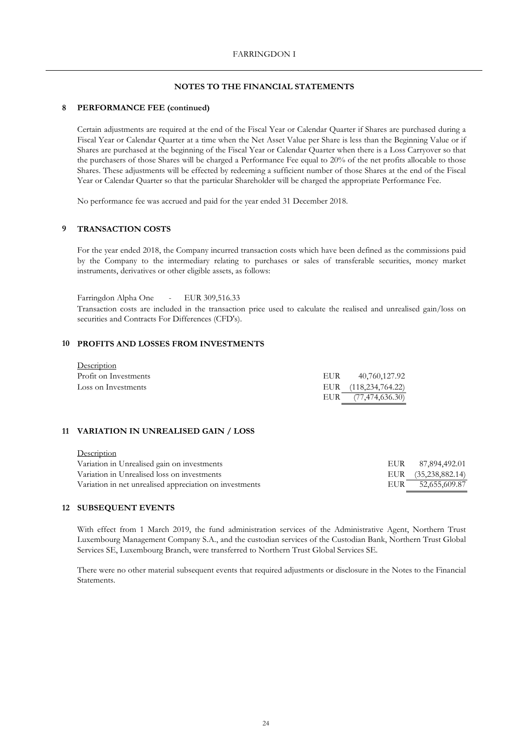### **8 PERFORMANCE FEE (continued)**

Certain adjustments are required at the end of the Fiscal Year or Calendar Quarter if Shares are purchased during a Fiscal Year or Calendar Quarter at a time when the Net Asset Value per Share is less than the Beginning Value or if Shares are purchased at the beginning of the Fiscal Year or Calendar Quarter when there is a Loss Carryover so that the purchasers of those Shares will be charged a Performance Fee equal to 20% of the net profits allocable to those Shares. These adjustments will be effected by redeeming a sufficient number of those Shares at the end of the Fiscal Year or Calendar Quarter so that the particular Shareholder will be charged the appropriate Performance Fee.

No performance fee was accrued and paid for the year ended 31 December 2018.

### **9 TRANSACTION COSTS**

For the year ended 2018, the Company incurred transaction costs which have been defined as the commissions paid by the Company to the intermediary relating to purchases or sales of transferable securities, money market instruments, derivatives or other eligible assets, as follows:

Farringdon Alpha One - EUR 309,516.33 Transaction costs are included in the transaction price used to calculate the realised and unrealised gain/loss on securities and Contracts For Differences (CFD's).

## **10 PROFITS AND LOSSES FROM INVESTMENTS**

| Description           |     |                      |
|-----------------------|-----|----------------------|
| Profit on Investments | EUR | 40,760,127.92        |
| Loss on Investments   |     | EUR (118,234,764.22) |
|                       |     | EUR (77,474,636.30)  |

#### **11 VARIATION IN UNREALISED GAIN / LOSS**

| EUR 87,894,492.01   |
|---------------------|
| EUR (35,238,882.14) |
| EUR 52,655,609.87   |
|                     |

#### **12 SUBSEQUENT EVENTS**

With effect from 1 March 2019, the fund administration services of the Administrative Agent, Northern Trust Luxembourg Management Company S.A., and the custodian services of the Custodian Bank, Northern Trust Global Services SE, Luxembourg Branch, were transferred to Northern Trust Global Services SE.

There were no other material subsequent events that required adjustments or disclosure in the Notes to the Financial Statements.